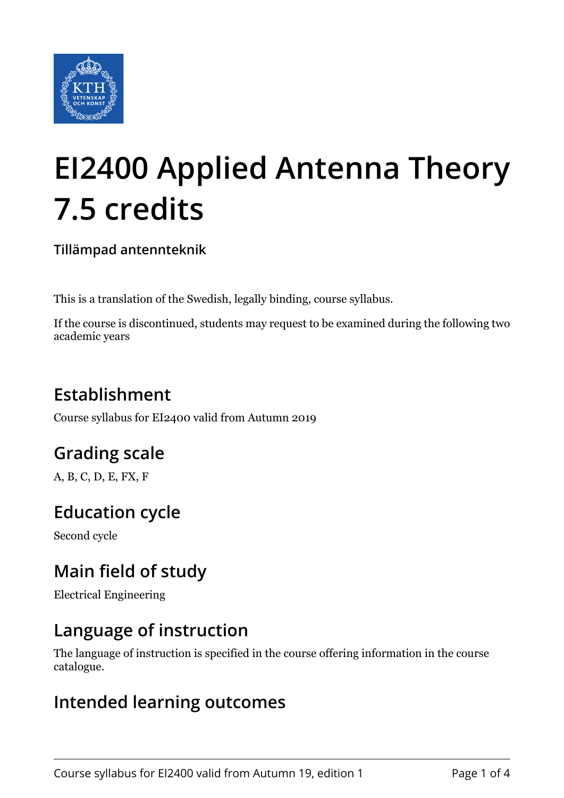

# **EI2400 Applied Antenna Theory 7.5 credits**

**Tillämpad antennteknik**

This is a translation of the Swedish, legally binding, course syllabus.

If the course is discontinued, students may request to be examined during the following two academic years

# **Establishment**

Course syllabus for EI2400 valid from Autumn 2019

# **Grading scale**

A, B, C, D, E, FX, F

# **Education cycle**

Second cycle

#### **Main field of study**

Electrical Engineering

#### **Language of instruction**

The language of instruction is specified in the course offering information in the course catalogue.

#### **Intended learning outcomes**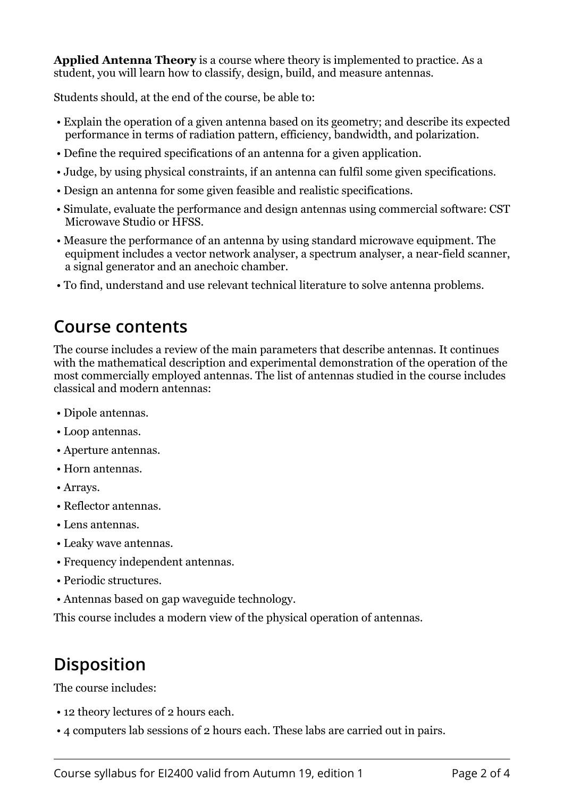**Applied Antenna Theory** is a course where theory is implemented to practice. As a student, you will learn how to classify, design, build, and measure antennas.

Students should, at the end of the course, be able to:

- Explain the operation of a given antenna based on its geometry; and describe its expected performance in terms of radiation pattern, efficiency, bandwidth, and polarization.
- Define the required specifications of an antenna for a given application.
- Judge, by using physical constraints, if an antenna can fulfil some given specifications.
- Design an antenna for some given feasible and realistic specifications.
- Simulate, evaluate the performance and design antennas using commercial software: CST Microwave Studio or HFSS.
- Measure the performance of an antenna by using standard microwave equipment. The equipment includes a vector network analyser, a spectrum analyser, a near-field scanner, a signal generator and an anechoic chamber.
- To find, understand and use relevant technical literature to solve antenna problems.

#### **Course contents**

The course includes a review of the main parameters that describe antennas. It continues with the mathematical description and experimental demonstration of the operation of the most commercially employed antennas. The list of antennas studied in the course includes classical and modern antennas:

- Dipole antennas.
- Loop antennas.
- Aperture antennas.
- Horn antennas.
- Arrays.
- Reflector antennas.
- Lens antennas.
- Leaky wave antennas.
- Frequency independent antennas.
- Periodic structures.
- Antennas based on gap waveguide technology.

This course includes a modern view of the physical operation of antennas.

# **Disposition**

The course includes:

- 12 theory lectures of 2 hours each.
- 4 computers lab sessions of 2 hours each. These labs are carried out in pairs.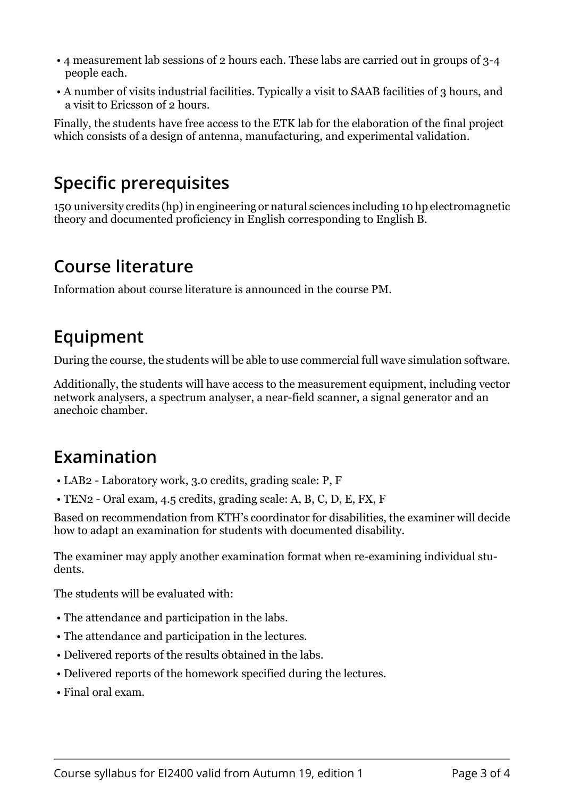- 4 measurement lab sessions of 2 hours each. These labs are carried out in groups of 3-4 people each.
- A number of visits industrial facilities. Typically a visit to SAAB facilities of 3 hours, and a visit to Ericsson of 2 hours.

Finally, the students have free access to the ETK lab for the elaboration of the final project which consists of a design of antenna, manufacturing, and experimental validation.

#### **Specific prerequisites**

150 university credits (hp) in engineering or natural sciences including 10 hp electromagnetic theory and documented proficiency in English corresponding to English B.

#### **Course literature**

Information about course literature is announced in the course PM.

#### **Equipment**

During the course, the students will be able to use commercial full wave simulation software.

Additionally, the students will have access to the measurement equipment, including vector network analysers, a spectrum analyser, a near-field scanner, a signal generator and an anechoic chamber.

#### **Examination**

- LAB2 Laboratory work, 3.0 credits, grading scale: P, F
- TEN2 Oral exam, 4.5 credits, grading scale: A, B, C, D, E, FX, F

Based on recommendation from KTH's coordinator for disabilities, the examiner will decide how to adapt an examination for students with documented disability.

The examiner may apply another examination format when re-examining individual students.

The students will be evaluated with:

- The attendance and participation in the labs.
- The attendance and participation in the lectures.
- Delivered reports of the results obtained in the labs.
- Delivered reports of the homework specified during the lectures.
- Final oral exam.